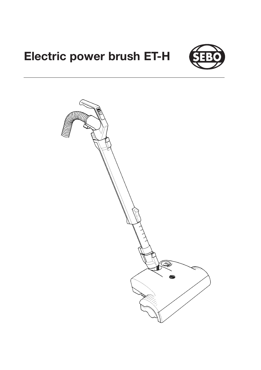# **Electric power brush ET-H**



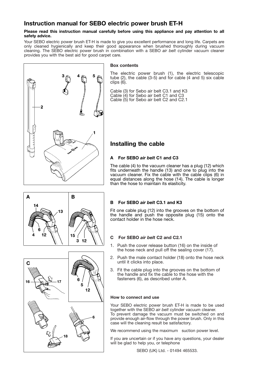# **Instruction manual for SEBO electric power brush ET-H**

#### **Please read this instruction manual carefully before using this appliance and pay attention to all safety advice.**

Your SEBO electric power brush ET-H is made to give you excellent performance and long life. Carpets are only cleaned hygienically and keep their good appearance when brushed thoroughly during vacuum cleaning. The SEBO electric power brush in combination with a SEBO *air belt* cylinder vacuum cleaner provides you with the best aid for good carpet care.



### **Box contents**

The electric power brush (1), the electric telescopic tube (2), the cable (3-5) and for cable (4 and 5) six cable clips (6).

Cable (3) for Sebo air belt C3.1 and K3 Cable (4) for Sebo air belt C1 and C3 Cable (5) for Sebo air belt C2 and C2.1

# **Installing the cable**

# **A For SEBO** *air belt* **C1 and C3**

The cable (4) to the vacuum cleaner has a plug (12) which fits underneath the handle (13) and one to plug into the vacuum cleaner. Fix the cable with the cable clips (6) in equal distances along the hose (14). The cable is longer than the hose to maintain its elasticity.





Fit one cable plug (12) into the grooves on the bottom of the handle and push the opposite plug (15) onto the contact holder in the hose neck.

# **C For SEBO** *air belt* **C2 and C2.1**

- 1. Push the cover release button (16) on the inside of the hose neck and pull off the sealing cover (17).
- 2. Push the male contact holder (18) onto the hose neck until it clicks into place.
- 3. Fit the cable plug into the grooves on the bottom of the handle and fix the cable to the hose with the fasteners (6), as described unter A.

#### **How to connect and use**

Your SEBO electric power brush ET-H is made to be used together with the SEBO *air belt* cylinder vacuum cleaner. To prevent damage the vacuum must be switched on and provide enough air-flow through the power brush. Only in this case will the cleaning result be satisfactory.

We recommend using the maximum suction power level.

lf you are uncertain or if you have any questions, your dealer will be glad to help you, or telephone

SEBO (UK) Ltd. - 01494 465533.

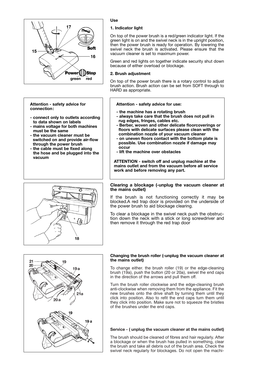

#### **Attention - safety advice for connection:**

- **connect only to outlets according to data shown on labels**
- **mains voltage for both machines must be the same**
- **the vacuum cleaner must be switched on and provide air-flow through the power brush**
- **the cable must be fixed along the hose and be plugged into the vacuum**



### **Use**

#### **1. Indicator light**

On top of the power brush is a red/green indicator light. lf the green light is on and the swivel neck is in the upright position, then the power brush is ready for operation. By lowering the swivel neck the brush is activated. Please ensure that the vacuum cleaner is set to maximum power.

Green and red lights on together indicate security shut down because of either overload or blockage.

#### **2. Brush adjustment**

On top of the power brush there is a rotary control to adjust brush action. Brush action can be set from SOFT through to HARD as appropriate.

#### **Attention - safety advice for use:**

- **the machine has a rotating brush**
- **always take care that the brush does not pull in rug edges, fringes, cables etc.**
- **Berber, woven and other delicate floorcoverings or floors with delicate surfaces please clean with the combination nozzle of your vacuum cleaner**
- **on uneven floors contact with the bottom plate is possible. Use combination nozzle if damage may occur**
- **lift the machine over obstacles**

**ATTENTION - switch off and unplug machine at the mains outlet and from the vacuum before all service work and before removing any part.**

#### **Clearing a blockage (-unplug the vacuum cleaner at the mains outlet)**

lf the brush is not functioning correctly it may be blocked.A red trap door is provided on the underside of the power brush to aid blockage clearing.

To clear a blockage in the swivel neck push the obstruction down the neck with a stick or long screwdriver and then remove it through the red trap door



#### **Changing the brush roller (-unplug the vacuum cleaner at the mains outlet)**

To change either. the brush roller (19) or the edge-cleaning brush (19a), push the button (20 or 20a), swivel the end caps in the direction of the arrows and pull them off.

Turn the brush roller clockwise and the edge-cleaning brush anti-clockwise when removing them from the appliance. Fit the new brushes onto the drive shaft by turning them until they click into position. Also to refit the end caps turn them until they click into position. Make sure not to squeeze the bristles of the brushes under the end caps.

## **Service - ( unplug the vacuum cleaner at the mains outlet)**

The brush should be cleaned of fibres and hair regularly. After a blockage or when the brush has pulled in something, clear the brush and take all debris out of the brush area. Check the swivel neck regularly for blockages. Do not open the machi-